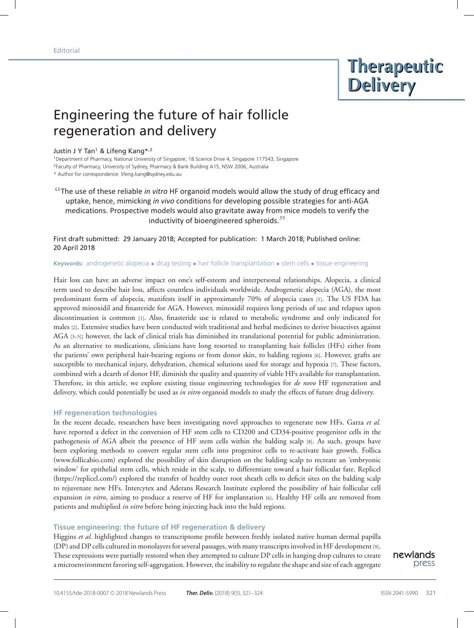Therapeutic<br>Delivery

# Engineering the future of hair follicle regeneration and delivery

# Justin J Y Tan<sup>1</sup> & Lifeng Kang\*<sup>,2</sup>

<sup>1</sup>Department of Pharmacy, National University of Singapore, 18 Science Drive 4, Singapore 117543, Singapore

<sup>2</sup> Faculty of Pharmacy, University of Sydney, Pharmacy & Bank Building A15, NSW 2006, Australia

\* Author for correspondence: lifeng.kang@sydney.edu.au

**"**The use of these reliable *in vitro* HF organoid models would allow the study of drug efficacy and uptake, hence, mimicking *in vivo* conditions for developing possible strategies for anti-AGA medications. Prospective models would also gravitate away from mice models to verify the inductivity of bioengineered spheroids.**"**

First draft submitted: 29 January 2018; Accepted for publication: 1 March 2018; Published online: 20 April 2018

### **Keywords:** androgenetic alopecia • drug testing • hair follicle transplantation • stem cells • tissue engineering

Hair loss can have an adverse impact on one's self-esteem and interpersonal relationships. Alopecia, a clinical term used to describe hair loss, affects countless individuals worldwide. Androgenetic alopecia (AGA), the most predominant form of alopecia, manifests itself in approximately 70% of alopecia cases [1]. The US FDA has approved minoxidil and finasteride for AGA. However, minoxidil requires long periods of use and relapses upon discontinuation is common [1]. Also, finasteride use is related to metabolic syndrome and only indicated for males [2]. Extensive studies have been conducted with traditional and herbal medicines to derive bioactives against AGA [3–5]; however, the lack of clinical trials has diminished its translational potential for public administration. As an alternative to medications, clinicians have long resorted to transplanting hair follicles (HFs) either from the patients' own peripheral hair-bearing regions or from donor skin, to balding regions [6]. However, grafts are susceptible to mechanical injury, dehydration, chemical solutions used for storage and hypoxia [7]. These factors, combined with a dearth of donor HF, diminish the quality and quantity of viable HFs available for transplantation. Therefore, in this article, we explore existing tissue engineering technologies for *de novo* HF regeneration and delivery, which could potentially be used as *in vitro* organoid models to study the effects of future drug delivery.

# **HF regeneration technologies**

In the recent decade, researchers have been investigating novel approaches to regenerate new HFs. Garza *et al.* have reported a defect in the conversion of HF stem cells to CD200 and CD34-positive progenitor cells in the pathogenesis of AGA albeit the presence of HF stem cells within the balding scalp [8]. As such, groups have been exploring methods to convert regular stem cells into progenitor cells to re-activate hair growth. Follica (www.follicabio.com) explored the possibility of skin disruption on the balding scalp to recreate an 'embryonic window' for epithelial stem cells, which reside in the scalp, to differentiate toward a hair follicular fate. Replicel (https://replicel.com/) explored the transfer of healthy outer root sheath cells to deficit sites on the balding scalp to rejuvenate new HFs. Intercytex and Aderans Research Institute explored the possibility of hair follicular cell expansion *in vitro*, aiming to produce a reserve of HF for implantation [6]. Healthy HF cells are removed from patients and multiplied *in vitro* before being injecting back into the bald regions.

## **Tissue engineering: the future of HF regeneration & delivery**

Higgins *et al.* highlighted changes to transcriptome profile between freshly isolated native human dermal papilla (DP) and DP cells cultured in monolayers for several passages, with many transcripts involved in HF development [9]. These expressions were partially restored when they attempted to culture DP cells in hanging drop cultures to create a microenvironment favoring self-aggregation. However, the inability to regulate the shape and size of each aggregate

newlands press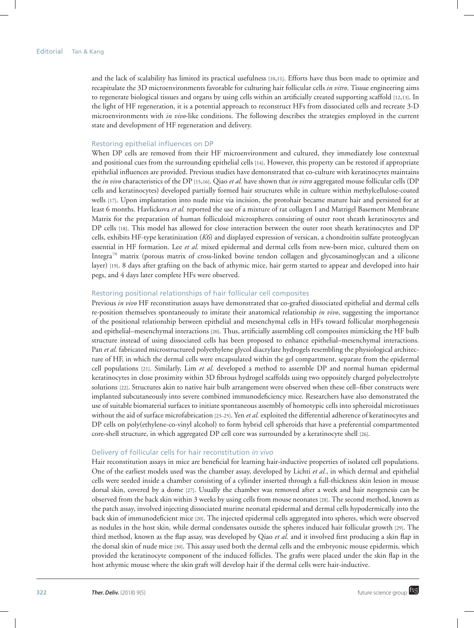and the lack of scalability has limited its practical usefulness [10,11]. Efforts have thus been made to optimize and recapitulate the 3D microenvironments favorable for culturing hair follicular cells *in vitro*. Tissue engineering aims to regenerate biological tissues and organs by using cells within an artificially created supporting scaffold [12,13]. In the light of HF regeneration, it is a potential approach to reconstruct HFs from dissociated cells and recreate 3-D microenvironments with *in vivo*-like conditions. The following describes the strategies employed in the current state and development of HF regeneration and delivery.

# Restoring epithelial influences on DP

When DP cells are removed from their HF microenvironment and cultured, they immediately lose contextual and positional cues from the surrounding epithelial cells [14]. However, this property can be restored if appropriate epithelial influences are provided. Previous studies have demonstrated that co-culture with keratinocytes maintains the *in vivo* characteristics of the DP [15,16]. Qiao *et al.* have shown that *in vitro* aggregated mouse follicular cells (DP cells and keratinocytes) developed partially formed hair structures while in culture within methylcellulose-coated wells [17]. Upon implantation into nude mice via incision, the protohair became mature hair and persisted for at least 6 months. Havlickova *et al.* reported the use of a mixture of rat collagen I and Matrigel Basement Membrane Matrix for the preparation of human folliculoid microspheres consisting of outer root sheath keratinocytes and DP cells [18]. This model has allowed for close interaction between the outer root sheath keratinocytes and DP cells, exhibits HF-type keratinization (*K6*) and displayed expression of versican, a chondroitin sulfate proteoglycan essential in HF formation. Lee *et al.* mixed epidermal and dermal cells from new-born mice, cultured them on Integra™ matrix (porous matrix of cross-linked bovine tendon collagen and glycosaminoglycan and a silicone layer) [19]. 8 days after grafting on the back of athymic mice, hair germ started to appear and developed into hair pegs, and 4 days later complete HFs were observed.

## Restoring positional relationships of hair follicular cell composites

Previous *in vivo* HF reconstitution assays have demonstrated that co-grafted dissociated epithelial and dermal cells re-position themselves spontaneously to imitate their anatomical relationship *in vivo*, suggesting the importance of the positional relationship between epithelial and mesenchymal cells in HFs toward follicular morphogenesis and epithelial–mesenchymal interactions [20]. Thus, artificially assembling cell composites mimicking the HF bulb structure instead of using dissociated cells has been proposed to enhance epithelial–mesenchymal interactions. Pan *et al.* fabricated microstructured polyethylene glycol diacrylate hydrogels resembling the physiological architecture of HF, in which the dermal cells were encapsulated within the gel compartment, separate from the epidermal cell populations [21]. Similarly, Lim *et al.* developed a method to assemble DP and normal human epidermal keratinocytes in close proximity within 3D fibrous hydrogel scaffolds using two oppositely charged polyelectrolyte solutions [22]. Structures akin to native hair bulb arrangement were observed when these cell–fiber constructs were implanted subcutaneously into severe combined immunodeficiency mice. Researchers have also demonstrated the use of suitable biomaterial surfaces to initiate spontaneous assembly of homotypic cells into spheroidal microtissues without the aid of surface microfabrication [23-25]. Yen *et al.* exploited the differential adherence of keratinocytes and DP cells on poly(ethylene-co-vinyl alcohol) to form hybrid cell spheroids that have a preferential compartmented core-shell structure, in which aggregated DP cell core was surrounded by a keratinocyte shell [26].

#### Delivery of follicular cells for hair reconstitution *in vivo*

Hair reconstitution assays in mice are beneficial for learning hair-inductive properties of isolated cell populations. One of the earliest models used was the chamber assay, developed by Lichti *et al.*, in which dermal and epithelial cells were seeded inside a chamber consisting of a cylinder inserted through a full-thickness skin lesion in mouse dorsal skin, covered by a dome [27]. Usually the chamber was removed after a week and hair neogenesis can be observed from the back skin within 3 weeks by using cells from mouse neonates [28]. The second method, known as the patch assay, involved injecting dissociated murine neonatal epidermal and dermal cells hypodermically into the back skin of immunodeficient mice [20]. The injected epidermal cells aggregated into spheres, which were observed as nodules in the host skin, while dermal condensates outside the spheres induced hair follicular growth [29]. The third method, known as the flap assay, was developed by Qiao *et al.* and it involved first producing a skin flap in the dorsal skin of nude mice [30]. This assay used both the dermal cells and the embryonic mouse epidermis, which provided the keratinocyte component of the induced follicles. The grafts were placed under the skin flap in the host athymic mouse where the skin graft will develop hair if the dermal cells were hair-inductive.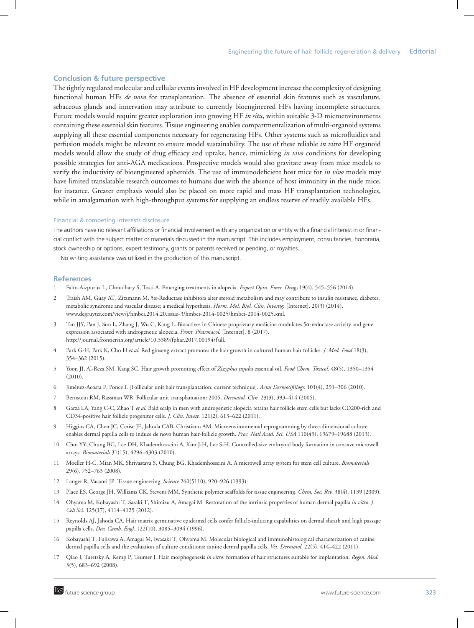# **Conclusion & future perspective**

The tightly regulated molecular and cellular events involved in HF development increase the complexity of designing functional human HFs *de novo* for transplantation. The absence of essential skin features such as vasculature, sebaceous glands and innervation may attribute to currently bioengineered HFs having incomplete structures. Future models would require greater exploration into growing HF *in situ*, within suitable 3-D microenvironments containing these essential skin features. Tissue engineering enables compartmentalization of multi-organoid systems supplying all these essential components necessary for regenerating HFs. Other systems such as microfluidics and perfusion models might be relevant to ensure model sustainability. The use of these reliable *in vitro* HF organoid models would allow the study of drug efficacy and uptake, hence, mimicking *in vivo* conditions for developing possible strategies for anti-AGA medications. Prospective models would also gravitate away from mice models to verify the inductivity of bioengineered spheroids. The use of immunodeficient host mice for *in vivo* models may have limited translatable research outcomes to humans due with the absence of host immunity in the nude mice, for instance. Greater emphasis would also be placed on more rapid and mass HF transplantation technologies, while in amalgamation with high-throughput systems for supplying an endless reserve of readily available HFs.

#### Financial & competing interests disclosure

The authors have no relevant affiliations or financial involvement with any organization or entity with a financial interest in or financial conflict with the subject matter or materials discussed in the manuscript. This includes employment, consultancies, honoraria, stock ownership or options, expert testimony, grants or patents received or pending, or royalties.

No writing assistance was utilized in the production of this manuscript.

#### **References**

- 1 Falto-Aizpurua L, Choudhary S, Tosti A. Emerging treatments in alopecia. *Expert Opin. Emer. Drugs* 19(4), 545–556 (2014).
- 2 Traish AM, Guay AT, Zitzmann M. 5α-Reductase inhibitors alter steroid metabolism and may contribute to insulin resistance, diabetes, metabolic syndrome and vascular disease: a medical hypothesis. *Horm. Mol. Biol. Clin. Investig.* [Internet]. 20(3) (2014). www.degruyter.com/view/j/hmbci.2014.20.issue-3/hmbci-2014-0025/hmbci-2014-0025.xml.
- 3 Tan JJY, Pan J, Sun L, Zhang J, Wu C, Kang L. Bioactives in Chinese proprietary medicine modulates 5α-reductase activity and gene expression associated with androgenetic alopecia. *Front. Pharmacol.* [Internet]. 8 (2017). http://journal.frontiersin.org/article/10.3389/fphar.2017.00194/full.
- 4 Park G-H, Park K, Cho H *et al.* Red ginseng extract promotes the hair growth in cultured human hair follicles. *J. Med. Food* 18(3), 354–362 (2015).
- 5 Yoon JI, Al-Reza SM, Kang SC. Hair growth promoting effect of *Zizyphus jujuba* essential oil. *Food Chem. Toxicol.* 48(5), 1350–1354 (2010).
- 6 Jiménez-Acosta F, Ponce I. [Follicular unit hair transplantation: current technique]. Actas Dermosifiliogr. 101(4), 291-306 (2010).
- 7 Bernstein RM, Rassman WR. Follicular unit transplantation: 2005. *Dermatol. Clin.* 23(3), 393–414 (2005).
- 8 Garza LA, Yang C-C, Zhao T *et al.* Bald scalp in men with androgenetic alopecia retains hair follicle stem cells but lacks CD200-rich and CD34-positive hair follicle progenitor cells. *J. Clin. Invest.* 121(2), 613–622 (2011).
- 9 Higgins CA, Chen JC, Cerise JE, Jahoda CAB, Christiano AM. Microenvironmental reprogramming by three-dimensional culture enables dermal papilla cells to induce de novo human hair-follicle growth. *Proc. Natl Acad. Sci. USA* 110(49), 19679–19688 (2013).
- 10 Choi YY, Chung BG, Lee DH, Khademhosseini A, Kim J-H, Lee S-H. Controlled-size embryoid body formation in concave microwell arrays. *Biomaterials* 31(15), 4296–4303 (2010).
- 11 Moeller H-C, Mian MK, Shrivastava S, Chung BG, Khademhosseini A. A microwell array system for stem cell culture. *Biomaterials* 29(6), 752–763 (2008).
- 12 Langer R, Vacanti JP. Tissue engineering. *Science* 260(5110), 920–926 (1993).
- 13 Place ES, George JH, Williams CK, Stevens MM. Synthetic polymer scaffolds for tissue engineering. *Chem. Soc. Rev.* 38(4), 1139 (2009).
- 14 Ohyama M, Kobayashi T, Sasaki T, Shimizu A, Amagai M. Restoration of the intrinsic properties of human dermal papilla *in vitro*. *J. Cell Sci.* 125(17), 4114–4125 (2012).
- 15 Reynolds AJ, Jahoda CA. Hair matrix germinative epidermal cells confer follicle-inducing capabilities on dermal sheath and high passage papilla cells. *Dev. Camb. Engl.* 122(10), 3085–3094 (1996).
- 16 Kobayashi T, Fujisawa A, Amagai M, Iwasaki T, Ohyama M. Molecular biological and immunohistological characterization of canine dermal papilla cells and the evaluation of culture conditions: canine dermal papilla cells. *Vet. Dermatol.* 22(5), 414–422 (2011).
- 17 Qiao J, Turetsky A, Kemp P, Teumer J. Hair morphogenesis *in vitro*: formation of hair structures suitable for implantation. *Regen. Med.* 3(5), 683–692 (2008).